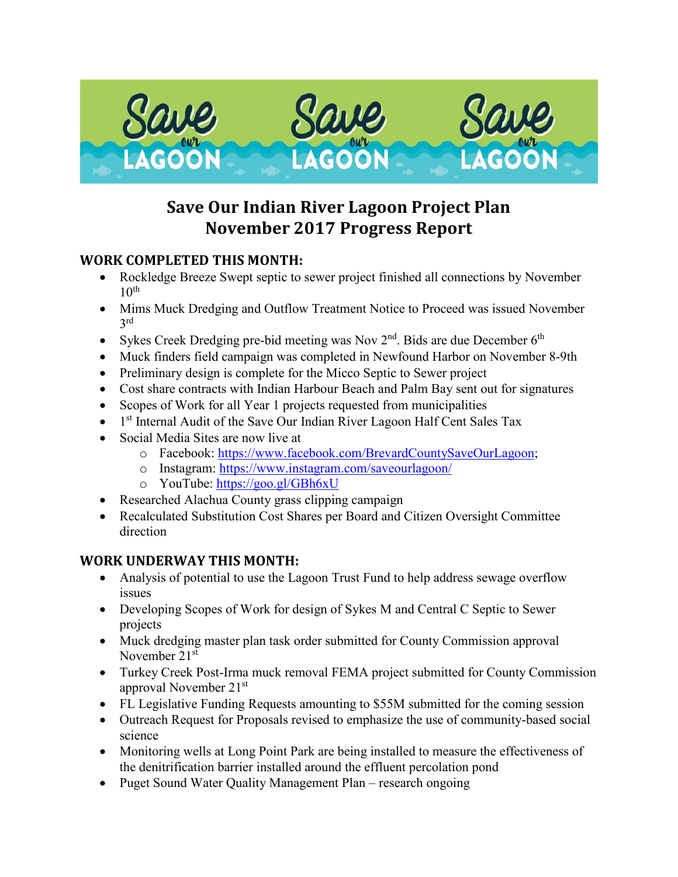

# **Save Our Indian River Lagoon Project Plan November 2017 Progress Report**

## **WORK COMPLETED THIS MONTH:**

- Rockledge Breeze Swept septic to sewer project finished all connections by November  $10<sup>th</sup>$
- Mims Muck Dredging and Outflow Treatment Notice to Proceed was issued November 3rd
- Sykes Creek Dredging pre-bid meeting was Nov  $2<sup>nd</sup>$ . Bids are due December  $6<sup>th</sup>$
- Muck finders field campaign was completed in Newfound Harbor on November 8-9th
- Preliminary design is complete for the Micco Septic to Sewer project
- Cost share contracts with Indian Harbour Beach and Palm Bay sent out for signatures
- Scopes of Work for all Year 1 projects requested from municipalities
- $\bullet$  1<sup>st</sup> Internal Audit of the Save Our Indian River Lagoon Half Cent Sales Tax
- Social Media Sites are now live at
	- o Facebook: [https://www.facebook.com/BrevardCountySaveOurLagoon;](https://www.facebook.com/BrevardCountySaveOurLagoon)
	- o Instagram:<https://www.instagram.com/saveourlagoon/>
	- o YouTube:<https://goo.gl/GBh6xU>
- Researched Alachua County grass clipping campaign
- Recalculated Substitution Cost Shares per Board and Citizen Oversight Committee direction

## **WORK UNDERWAY THIS MONTH:**

- Analysis of potential to use the Lagoon Trust Fund to help address sewage overflow issues
- Developing Scopes of Work for design of Sykes M and Central C Septic to Sewer projects
- Muck dredging master plan task order submitted for County Commission approval November 21st
- Turkey Creek Post-Irma muck removal FEMA project submitted for County Commission approval November 21st
- FL Legislative Funding Requests amounting to \$55M submitted for the coming session
- Outreach Request for Proposals revised to emphasize the use of community-based social science
- Monitoring wells at Long Point Park are being installed to measure the effectiveness of the denitrification barrier installed around the effluent percolation pond
- Puget Sound Water Quality Management Plan research ongoing